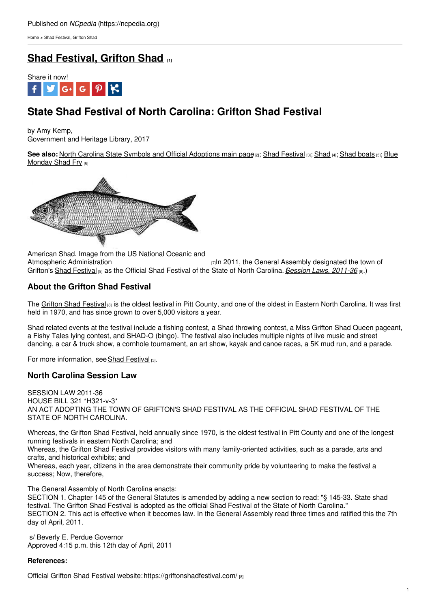[Home](https://ncpedia.org/) > Shad Festival, Grifton Shad

## **Shad [Festival,](https://ncpedia.org/shad-festival-grifton-shad) Grifton Shad [1]**



# **State Shad Festival of North Carolina: Grifton Shad Festival**

by Amy Kemp, Government and Heritage Library, 2017

See also: North Carolina State Symbols and Official [Adoptions](https://ncpedia.org/symbols/blue-monday) main page<sup>[2]</sup>; Shad [Festival](https://ncpedia.org/shad-festival) [3]; [Shad](https://ncpedia.org/american-shad-nc-wins) [4]; Shad [boats](https://ncpedia.org/symbols/boat) [5]; Blue Monday Shad Fry [6]



American Shad. Image from the US National Oceanic and Atmospheric [Administration](https://commons.wikimedia.org/wiki/File:Alosa_sapidissima_(line_art).jpg) **EXECUTE:** [7] The General Assembly designated the town of Grifton's Shad [Festival](https://griftonshadfestival.com/) [8] as the Official Shad Festival of the State of North Carolina. *Session Laws, [2011-36](https://www.ncleg.net/Sessions/2011/Bills/House/PDF/H321v3.pdf)* [9].)

### **About the Grifton Shad Festival**

The Grifton Shad [Festival](https://griftonshadfestival.com/) [8] is the oldest festival in Pitt County, and one of the oldest in Eastern North Carolina. It was first held in 1970, and has since grown to over 5,000 visitors a year.

Shad related events at the festival include a fishing contest, a Shad throwing contest, a Miss Grifton Shad Queen pageant, a Fishy Tales lying contest, and SHAD-O (bingo). The festival also includes multiple nights of live music and street dancing, a car & truck show, a cornhole tournament, an art show, kayak and canoe races, a 5K mud run, and a parade.

For more information, see Shad [Festival](https://ncpedia.org/shad-festival) [3].

### **North Carolina Session Law**

SESSION LAW 2011-36 HOUSE BILL 321 \*H321-v-3\* AN ACT ADOPTING THE TOWN OF GRIFTON'S SHAD FESTIVAL AS THE OFFICIAL SHAD FESTIVAL OF THE STATE OF NORTH CAROLINA.

Whereas, the Grifton Shad Festival, held annually since 1970, is the oldest festival in Pitt County and one of the longest running festivals in eastern North Carolina; and

Whereas, the Grifton Shad Festival provides visitors with many family-oriented activities, such as a parade, arts and crafts, and historical exhibits; and

Whereas, each year, citizens in the area demonstrate their community pride by volunteering to make the festival a success; Now, therefore,

The General Assembly of North Carolina enacts:

SECTION 1. Chapter 145 of the General Statutes is amended by adding a new section to read: "§ 145-33. State shad festival. The Grifton Shad Festival is adopted as the official Shad Festival of the State of North Carolina." SECTION 2. This act is effective when it becomes law. In the General Assembly read three times and ratified this the 7th day of April, 2011.

s/ Beverly E. Perdue Governor Approved 4:15 p.m. this 12th day of April, 2011

#### **References:**

Official Grifton Shad Festival website: <https://griftonshadfestival.com/> [8]